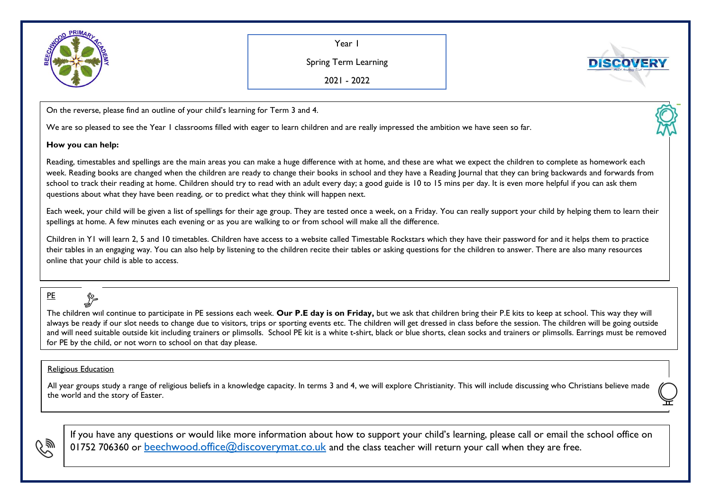

Year 1

Spring Term Learning

**DISCOVE** 

2021 - 2022

On the reverse, please find an outline of your child's learning for Term 3 and 4.

We are so pleased to see the Year I classrooms filled with eager to learn children and are really impressed the ambition we have seen so far.

## **How you can help:**

Reading, timestables and spellings are the main areas you can make a huge difference with at home, and these are what we expect the children to complete as homework each week. Reading books are changed when the children are ready to change their books in school and they have a Reading Journal that they can bring backwards and forwards from school to track their reading at home. Children should try to read with an adult every day; a good guide is 10 to 15 mins per day. It is even more helpful if you can ask them questions about what they have been reading, or to predict what they think will happen next.

Each week, your child will be given a list of spellings for their age group. They are tested once a week, on a Friday. You can really support your child by helping them to learn their spellings at home. A few minutes each evening or as you are walking to or from school will make all the difference.

Children in Y1 will learn 2, 5 and 10 timetables. Children have access to a website called Timestable Rockstars which they have their password for and it helps them to practice their tables in an engaging way. You can also help by listening to the children recite their tables or asking questions for the children to answer. There are also many resources online that your child is able to access.

## PE

The children will continue to participate in PE sessions each week. **Our P.E day is on Friday,** but we ask that children bring their P.E kits to keep at school. This way they will always be ready if our slot needs to change due to visitors, trips or sporting events etc. The children will get dressed in class before the session. The children will be going outside and will need suitable outside kit including trainers or plimsolls. School PE kit is a white t-shirt, black or blue shorts, clean socks and trainers or plimsolls. Earrings must be removed for PE by the child, or not worn to school on that day please.

## Religious Education

All year groups study a range of religious beliefs in a knowledge capacity. In terms 3 and 4, we will explore Christianity. This will include discussing who Christians believe made the world and the story of Easter.



If you have any questions or would like more information about how to support your child's learning, please call or email the school office on 01752 706360 or [beechwood.office@discoverymat.co.uk](mailto:beechwood.office@discoverymat.co.uk) and the class teacher will return your call when they are free.